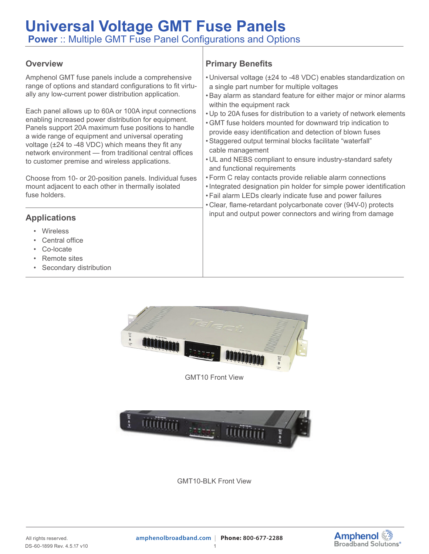## **Universal Voltage GMT Fuse Panels Power** :: Multiple GMT Fuse Panel Configurations and Options

#### **Overview**

Amphenol GMT fuse panels include a comprehensive range of options and standard configurations to fit virtually any low-current power distribution application.

Each panel allows up to 60A or 100A input connections enabling increased power distribution for equipment. Panels support 20A maximum fuse positions to handle a wide range of equipment and universal operating voltage (±24 to -48 VDC) which means they fit any network environment — from traditional central offices to customer premise and wireless applications.

Choose from 10- or 20-position panels. Individual fuses mount adjacent to each other in thermally isolated fuse holders.

### **Applications**

- **Wireless**
- Central office
- Co-locate
- Remote sites
- Secondary distribution

## **Primary Benefits**

- Universal voltage (±24 to -48 VDC) enables standardization on a single part number for multiple voltages
- •Bay alarm as standard feature for either major or minor alarms within the equipment rack
- Up to 20A fuses for distribution to a variety of network elements
- •GMT fuse holders mounted for downward trip indication to provide easy identification and detection of blown fuses
- •Staggered output terminal blocks facilitate "waterfall" cable management
- UL and NEBS compliant to ensure industry-standard safety and functional requirements
- •Form C relay contacts provide reliable alarm connections
- •Integrated designation pin holder for simple power identification
- •Fail alarm LEDs clearly indicate fuse and power failures
- Clear, flame-retardant polycarbonate cover (94V-0) protects input and output power connectors and wiring from damage





GMT10-BLK Front View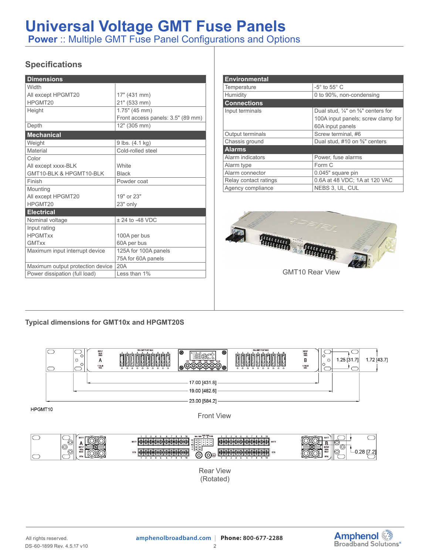# **Universal Voltage GMT Fuse Panels**

**Power** :: Multiple GMT Fuse Panel Configurations and Options

## **Specifications**

| <b>Dimensions</b>                |                                   |  |
|----------------------------------|-----------------------------------|--|
| Width                            |                                   |  |
| All except HPGMT20               | 17" (431 mm)                      |  |
| HPGMT20                          | 21" (533 mm)                      |  |
| Height                           | $1.75"$ (45 mm)                   |  |
|                                  | Front access panels: 3.5" (89 mm) |  |
| Depth                            | 12" (305 mm)                      |  |
| <b>Mechanical</b>                |                                   |  |
| Weight                           | 9 lbs. (4.1 kg)                   |  |
| Material                         | Cold-rolled steel                 |  |
| Color                            |                                   |  |
| All except xxxx-BLK              | <b>White</b>                      |  |
| GMT10-BLK & HPGMT10-BLK          | <b>Black</b>                      |  |
| Finish                           | Powder coat                       |  |
| Mounting                         |                                   |  |
| All except HPGMT20               | 19" or 23"                        |  |
| HPGMT20                          | 23" only                          |  |
| <b>Electrical</b>                |                                   |  |
| Nominal voltage                  | $± 24$ to -48 VDC                 |  |
| Input rating                     |                                   |  |
| <b>HPGMTxx</b>                   | 100A per bus                      |  |
| <b>GMTxx</b>                     | 60A per bus                       |  |
| Maximum input interrupt device   | 125A for 100A panels              |  |
|                                  | 75A for 60A panels                |  |
| Maximum output protection device | 20A                               |  |
| Power dissipation (full load)    | Less than 1%                      |  |

| <b>Environmental</b>  |                                                           |  |
|-----------------------|-----------------------------------------------------------|--|
| Temperature           | $-5^\circ$ to $55^\circ$ C                                |  |
| Humidity              | 0 to 90%, non-condensing                                  |  |
| <b>Connections</b>    |                                                           |  |
| Input terminals       | Dual stud, $\frac{1}{4}$ " on $\frac{5}{8}$ " centers for |  |
|                       | 100A input panels; screw clamp for                        |  |
|                       | 60A input panels                                          |  |
| Output terminals      | Screw terminal. #6                                        |  |
| Chassis ground        | Dual stud, #10 on %" centers                              |  |
| <b>Alarms</b>         |                                                           |  |
| Alarm indicators      | Power, fuse alarms                                        |  |
| Alarm type            | Form C                                                    |  |
| Alarm connector       | 0.045" square pin                                         |  |
| Relay contact ratings | 0.6A at 48 VDC; 1A at 120 VAC                             |  |
| Agency compliance     | NEBS 3, UL, CUL                                           |  |



#### **Typical dimensions for GMT10x and HPGMT20S**



Rear View (Rotated)